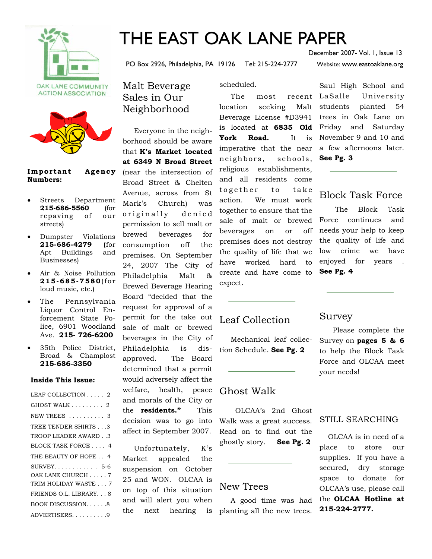



#### Important Agency **Numbers:**

- Streets Department **215-686-5560** (for repaving of our streets)
- Dumpster Violations **215-686-4279 (**for Apt Buildings and Businesses)
- Air & Noise Pollution **215-685-7580**(for loud music, etc.)
- The Pennsylvania Liquor Control Enforcement State Police, 6901 Woodland Ave. **215- 726-6200**
- 35th Police District, Broad & Champlost **215-686-3350**

#### **Inside This Issue:**

| LEAF COLLECTION 2                   |
|-------------------------------------|
| GHOST WALK $\ldots \ldots \ldots$ 2 |
| NEW TREES  3                        |
| TREE TENDER SHIRTS3                 |
| TROOP LEADER AWARD. .3              |
| BLOCK TASK FORCE  4                 |
| THE BEAUTY OF HOPE 4                |
| $SURVEY. \ldots \ldots \ldots 5-6$  |
| OAK LANE CHURCH 7                   |
| TRIM HOLIDAY WASTE 7                |
| FRIENDS O.L. LIBRARY 8              |
| BOOK DISCUSSION8                    |
| ADVERTISERS9                        |

# THE EAST OAK LANE PAPER

PO Box 2926, Philadelphia, PA 19126 Tel: 215-224-2777 Website: www.eastoaklane.org

December 2007- Vol. 1, Issue 13

Malt Beverage Sales in Our Neighborhood

 Everyone in the neighborhood should be aware that **K's Market located at 6349 N Broad Street**  (near the intersection of Broad Street & Chelten Avenue, across from St Mark's Church) was originally denied permission to sell malt or brewed beverages for consumption off the premises. On September 24, 2007 The City of Philadelphia Malt & Brewed Beverage Hearing Board "decided that the request for approval of a permit for the take out sale of malt or brewed beverages in the City of Philadelphia is disapproved. The Board determined that a permit would adversely affect the welfare, health, peace and morals of the City or the **residents."** This decision was to go into affect in September 2007.

 Unfortunately, K's Market appealed the suspension on October 25 and WON. OLCAA is on top of this situation and will alert you when the next hearing is scheduled.

The most recent LaSalle location seeking Malt Beverage License #D3941 is located at **6835 Old**  Friday and Saturday **York Road.** It is imperative that the near neighbors, schools, religious establishments, and all residents come together to take action. We must work together to ensure that the sale of malt or brewed beverages on or off premises does not destroy the quality of life that we have worked hard to create and have come to expect.

## Leaf Collection

 Mechanical leaf collection Schedule. **See Pg. 2** 

## Ghost Walk

 OLCAA's 2nd Ghost Walk was a great success. Read on to find out the ghostly story. **See Pg. 2** 

### New Trees

 A good time was had planting all the new trees.

Saul High School and University planted 54 trees in Oak Lane on November 9 and 10 and a few afternoons later. **See Pg. 3** 

## Block Task Force

 The Block Task Force continues and needs your help to keep the quality of life and low crime we have enjoyed for years . **See Pg. 4**

## Survey

 Please complete the Survey on **pages 5 & 6** to help the Block Task Force and OLCAA meet your needs!

### STILL SEARCHING

OLCAA is in need of a place to store our supplies. If you have a secured, dry storage space to donate for OLCAA's use, please call the **OLCAA Hotline at 215-224-2777.**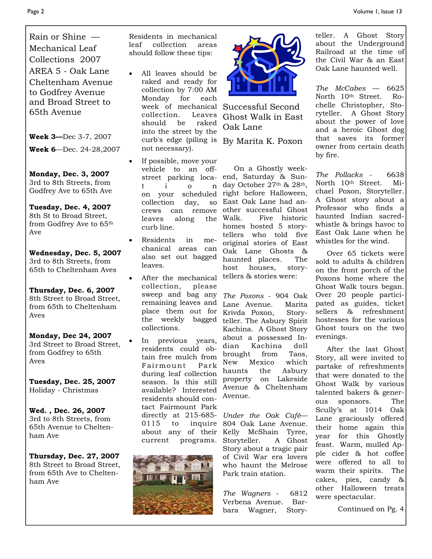Rain or Shine — Mechanical Leaf Collections 2007 AREA 5 - Oak Lane Cheltenham Avenue to Godfrey Avenue and Broad Street to 65th Avenue

**Week 3—**Dec 3-7, 2007

**Week 6**—Dec. 24-28,2007

**Monday, Dec. 3, 2007** 3rd to 8th Streets, from Godfrey Ave to 65th Ave

**Tuesday, Dec. 4, 2007** 8th St to Broad Street, from Godfrey Ave to 65th Ave

**Wednesday, Dec. 5, 2007** 3rd to 8th Streets, from 65th to Cheltenham Aves

**Thursday, Dec. 6, 2007** 8th Street to Broad Street, from 65th to Cheltenham Aves

**Monday, Dec 24, 2007** 3rd Street to Broad Street, from Godfrey to 65th Aves

**Tuesday, Dec. 25, 2007** Holiday - Christmas

**Wed. , Dec. 26, 2007** 3rd to 8th Streets, from 65th Avenue to Cheltenham Ave

**Thursday, Dec. 27, 2007**  8th Street to Broad Street, from 65th Ave to Cheltenham Ave

Residents in mechanical leaf collection areas should follow these tips:

- All leaves should be raked and ready for collection by 7:00 AM Monday for each collection. Leaves should be raked into the street by the curb's edge (piling is By Marita K. Poxon not necessary).
- If possible, move your vehicle to an offstreet parking locat i o n on your scheduled collection day, so crews can remove leaves along the curb line.
- Residents in mechanical areas can also set out bagged leaves.
- After the mechanical collection, please sweep and bag any remaining leaves and place them out for the weekly bagged collections.
- In previous years, residents could obtain free mulch from Fairmount Park during leaf collection season. Is this still available? Interested residents should contact Fairmount Park directly at 215-685 about any of their current programs.





week of mechanical Successful Second Ghost Walk in East Oak Lane

 On a Ghostly weekend, Saturday & Sunday October 27th & 28th, right before Halloween, East Oak Lane had another successful Ghost Walk. Five historic homes hosted 5 storytellers who told five original stories of East Oak Lane Ghosts & haunted places. The host houses, storytellers & stories were:

*The Poxons* - 904 Oak Lane Avenue. Marita Krivda Poxon, Storyteller. The Asbury Spirit Kachina. A Ghost Story about a possessed Indian Kachina doll brought from Taos, New Mexico which haunts the Asbury property on Lakeside Avenue & Cheltenham Avenue.

0115 to inquire 804 Oak Lane Avenue. *Under the Oak Café*— Kelly McShain Tyree, Storyteller. A Ghost Story about a tragic pair of Civil War era lovers who haunt the Melrose Park train station.

> *The Wagners* - 6812 Verbena Avenue. Barbara Wagner, Story

teller. A Ghost Story about the Underground Railroad at the time of the Civil War & an East Oak Lane haunted well.

*The McCabes* — 6625 North 10th Street. Rochelle Christopher, Storyteller. A Ghost Story about the power of love and a heroic Ghost dog that saves its former owner from certain death by fire.

*The Pollacks* - 6638 North 10th Street. Michael Poxon, Storyteller. A Ghost story about a Professor who finds a haunted Indian sacredwhistle & brings havoc to East Oak Lane when he whistles for the wind.

 Over 65 tickets were sold to adults & children on the front porch of the Poxons home where the Ghost Walk tours began. Over 20 people participated as guides, ticket sellers & refreshment hostesses for the various Ghost tours on the two evenings.

 After the last Ghost Story, all were invited to partake of refreshments that were donated to the Ghost Walk by various talented bakers & generous sponsors. The Scully's at 1014 Oak Lane graciously offered their home again this year for this Ghostly feast. Warm, mulled Apple cider & hot coffee were offered to all to warm their spirits. The cakes, pies, candy & other Halloween treats were spectacular.

Continued on Pg. 4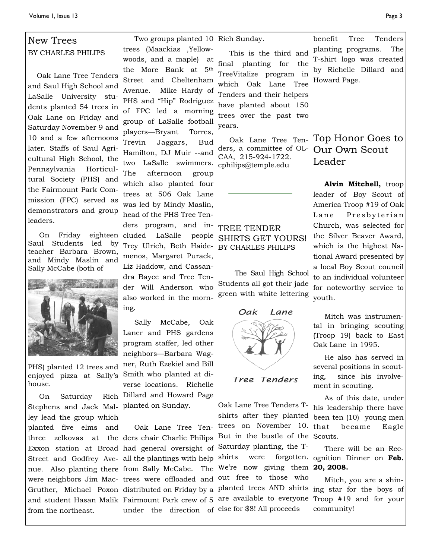## New Trees BY CHARLES PHILIPS

 Oak Lane Tree Tenders and Saul High School and LaSalle University students planted 54 trees in Oak Lane on Friday and Saturday November 9 and 10 and a few afternoons later. Staffs of Saul Agricultural High School, the Pennsylvania Horticultural Society (PHS) and the Fairmount Park Commission (FPC) served as demonstrators and group leaders.

On Friday Saul Students led by teacher Barbara Brown, and Mindy Maslin and Sally McCabe (both of



PHS) planted 12 trees and house.

On Saturday Stephens and Jack Mal-planted on Sunday. ley lead the group which planted five elms and from the northeast.

 Two groups planted 10 Rich Sunday. trees (Maackias ,Yellowwoods, and a maple) at the More Bank at 5th Street and Cheltenham Avenue. Mike Hardy of PHS and "Hip" Rodriguez of FPC led a morning group of LaSalle football players—Bryant Torres, Trevin Jaggars, Bud Hamilton, DJ Muir --and two LaSalle swimmers. The afternoon group which also planted four trees at 506 Oak Lane was led by Mindy Maslin, head of the PHS Tree Tenders program, and ineighteen cluded LaSalle people Trey Ulrich, Beth Haide-BY CHARLES PHILIPS menos, Margaret Purack, Liz Haddow, and Cassandra Bayce and Tree Tender Will Anderson who also worked in the morning.

enjoyed pizza at Sally's Smith who planted at di- Sally McCabe, Oak Laner and PHS gardens program staffer, led other neighbors—Barbara Wagner, Ruth Ezekiel and Bill verse locations. Richelle Dillard and Howard Page

three zelkovas at the ders chair Charlie Philips But in the bustle of the Scouts. Exxon station at Broad had general oversight of Saturday planting, the T-Street and Godfrey Ave- all the plantings with help shirts were forgotten. nue. Also planting there from Sally McCabe. The We're now giving them **20, 2008.** were neighbors Jim Mac-trees were offloaded and out free to those who Gruther, Michael Poxon distributed on Friday by a planted trees AND shirts ing star for the boys of and student Hasan Malik Fairmount Park crew of 5 are available to everyone Troop #19 and for your Oak Lane Tree Ten-trees on November 10. under the direction of else for \$8! All proceeds

 This is the third and final planting for the TreeVitalize program in which Oak Lane Tree Tenders and their helpers have planted about 150 trees over the past two years.

ders, a committee of OL-CAA, 215-924-1722. cphilips@temple.edu

# TREE TENDER SHIRTS GET YOURS!

 The Saul High School Students all got their jade green with white lettering



Tree Tenders

Oak Lane Tree Tenders Tshirts after they planted

benefit Tree Tenders planting programs. The T-shirt logo was created by Richelle Dillard and Howard Page.

 Oak Lane Tree Ten-Top Honor Goes to Our Own Scout Leader

> Alvin Mitchell, troop leader of Boy Scout of America Troop #19 of Oak Lane Presbyterian Church, was selected for the Silver Beaver Award, which is the highest National Award presented by a local Boy Scout council to an individual volunteer for noteworthy service to youth.

> Mitch was instrumental in bringing scouting (Troop 19) back to East Oak Lane in 1995.

> He also has served in several positions in scouting, since his involvement in scouting.

 As of this date, under his leadership there have been ten (10) young men became Eagle

 There will be an Recforgotten. ognition Dinner on Feb.

> Mitch, you are a shincommunity!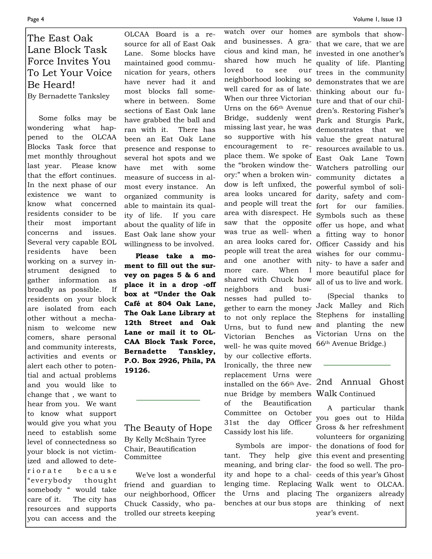## The East Oak Lane Block Task Force Invites You To Let Your Voice Be Heard! By Bernadette Tanksley

 Some folks may be wondering what happened to the OLCAA Blocks Task force that met monthly throughout last year. Please know that the effort continues. In the next phase of our existence we want to know what concerned residents consider to be their most important concerns and issues. Several very capable EOL residents have been working on a survey instrument designed to gather information as broadly as possible. If residents on your block are isolated from each other without a mechanism to welcome new comers, share personal and community interests, activities and events or alert each other to potential and actual problems and you would like to change that , we want to hear from you. We want to know what support would give you what you need to establish some level of connectedness so your block is not victimized and allowed to deteriorate because "everybody thought somebody " would take care of it. The city has resources and supports you can access and the

OLCAA Board is a resource for all of East Oak Lane. Some blocks have maintained good communication for years, others have never had it and most blocks fall somewhere in between. Some sections of East Oak lane have grabbed the ball and ran with it. There has been an Eat Oak Lane presence and response to several hot spots and we have met with some measure of success in almost every instance. An organized community is able to maintain its quality of life. If you care about the quality of life in East Oak lane show your willingness to be involved.

 **Please take a moment to fill out the survey on pages 5 & 6 and place it in a drop -off box at "Under the Oak Café at 804 Oak Lane, The Oak Lane Library at 12th Street and Oak Lane or mail it to OL-CAA Block Task Force, Bernadette Tanskley, P.O. Box 2926, Phila, PA 19126.** 

The Beauty of Hope By Kelly McShain Tyree Chair, Beautification Committee

 We've lost a wonderful friend and guardian to our neighborhood, Officer Chuck Cassidy, who patrolled our streets keeping

nue Bridge by members Walk Continued watch over our homes and businesses. A gracious and kind man, he shared how much he loved to see our neighborhood looking so well cared for as of late. When our three Victorian Urns on the 66th Avenue Bridge, suddenly went missing last year, he was so supportive with his encouragement to replace them. We spoke of the "broken window theory:" when a broken window is left unfixed, the area looks uncared for and people will treat the area with disrespect. He saw that the opposite was true as well- when an area looks cared for, people will treat the area and one another with more care. When I shared with Chuck how neighbors and businesses had pulled together to earn the money to not only replace the Urns, but to fund new Victorian Benches as well- he was quite moved by our collective efforts. Ironically, the three new replacement Urns were installed on the 66th Aveof the Beautification Committee on October 31st the day Officer Cassidy lost his life.

benches at our bus stops

are symbols that showthat we care, that we are invested in one another's quality of life. Planting trees in the community demonstrates that we are thinking about our future and that of our children's. Restoring Fisher's Park and Sturgis Park, demonstrates that we value the great natural resources available to us. East Oak Lane Town Watchers patrolling our community dictates a powerful symbol of solidarity, safety and comfort for our families. Symbols such as these offer us hope, and what a fitting way to honor Officer Cassidy and his wishes for our community- to have a safer and more beautiful place for all of us to live and work.

 (Special thanks to Jack Malley and Rich Stephens for installing and planting the new Victorian Urns on the 66th Avenue Bridge.)

# 2nd Annual Ghost

 A particular thank you goes out to Hilda Gross & her refreshment volunteers for organizing Symbols are impor- the donations of food for tant. They help give this event and presenting meaning, and bring clar- the food so well. The proity and hope to a chal- ceeds of this year's Ghost lenging time. Replacing Walk went to OLCAA. the Urns and placing The organizers already thinking of next year's event.

L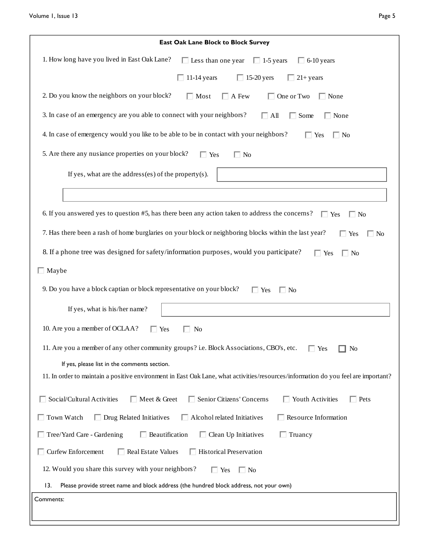| East Oak Lane Block to Block Survey                                                                                                |  |  |  |  |
|------------------------------------------------------------------------------------------------------------------------------------|--|--|--|--|
| 1. How long have you lived in East Oak Lane?<br>$\Box$ Less than one year $\Box$ 1-5 years<br>$\Box$ 6-10 years                    |  |  |  |  |
| $\Box$ 11-14 years<br>$\Box$ 15-20 yers<br>$\Box$ 21+ years                                                                        |  |  |  |  |
| 2. Do you know the neighbors on your block?<br>$\Box$ Most<br>$\Box$ A Few<br>$\Box$ One or Two<br>$\Box$ None                     |  |  |  |  |
| 3. In case of an emergency are you able to connect with your neighbors?<br>$\hfill\Box$ Some<br>$\Box$ All<br>$\Box$ None          |  |  |  |  |
| 4. In case of emergency would you like to be able to be in contact with your neighbors?<br>$\Box$ Yes<br>$\Box$ No                 |  |  |  |  |
| 5. Are there any nusiance properties on your block?<br>$\Box$ No<br>$\Box$ Yes                                                     |  |  |  |  |
| If yes, what are the address(es) of the property(s).                                                                               |  |  |  |  |
|                                                                                                                                    |  |  |  |  |
| 6. If you answered yes to question #5, has there been any action taken to address the concerns?<br>$\Box$ Yes<br>$\Box$ No         |  |  |  |  |
| 7. Has there been a rash of home burglaries on your block or neighboring blocks within the last year?<br>$\Box$ Yes<br>$\Box$ No   |  |  |  |  |
| 8. If a phone tree was designed for safety/information purposes, would you participate?<br>$\Box$ Yes<br>$\Box$ No                 |  |  |  |  |
| $\Box$ Maybe                                                                                                                       |  |  |  |  |
| 9. Do you have a block captian or block representative on your block?<br>$\Box$ Yes<br>$\Box$ No                                   |  |  |  |  |
| If yes, what is his/her name?                                                                                                      |  |  |  |  |
| 10. Are you a member of OCLAA?<br>$\Box$ Yes<br>$\Box$ No                                                                          |  |  |  |  |
| 11. Are you a member of any other community groups? i.e. Block Associations, CBO's, etc.<br>$\Box$ Yes<br>No                       |  |  |  |  |
| If yes, please list in the comments section.                                                                                       |  |  |  |  |
| 11. In order to maintain a positive environment in East Oak Lane, what activities/resources/information do you feel are important? |  |  |  |  |
| $\Box$ Youth Activities<br>Social/Cultural Activities<br>Meet & Greet<br>Senior Citizens' Concerns<br>$\Box$ Pets                  |  |  |  |  |
| $\Box$ Resource Information<br>$\Box$ Town Watch<br>$\Box$ Drug Related Initiatives<br>$\Box$ Alcohol related Initiatives          |  |  |  |  |
| $\Box$ Beautification<br>Tree/Yard Care - Gardening<br>$\Box$ Clean Up Initiatives<br>$\Box$ Truancy                               |  |  |  |  |
| $\Box$ Curfew Enforcement<br>$\Box$ Real Estate Values<br>$\Box$ Historical Preservation                                           |  |  |  |  |
| 12. Would you share this survey with your neighbors?<br>$\Box$ No<br>$\Box$ Yes                                                    |  |  |  |  |
| 13.<br>Please provide street name and block address (the hundred block address, not your own)                                      |  |  |  |  |
| Comments:                                                                                                                          |  |  |  |  |
|                                                                                                                                    |  |  |  |  |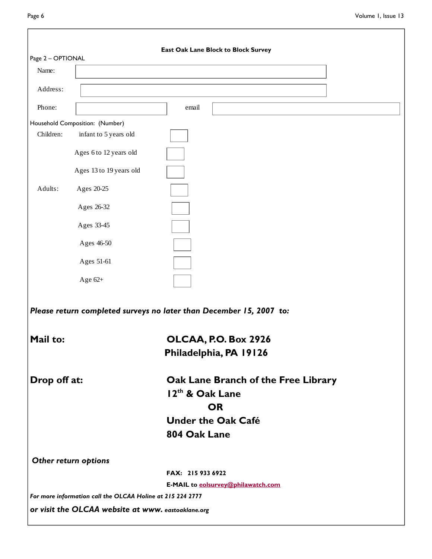| East Oak Lane Block to Block Survey<br>Page 2 - OPTIONAL |                                                            |                                                                     |  |  |  |
|----------------------------------------------------------|------------------------------------------------------------|---------------------------------------------------------------------|--|--|--|
| Name:                                                    |                                                            |                                                                     |  |  |  |
| Address:                                                 |                                                            |                                                                     |  |  |  |
| Phone:                                                   |                                                            | email                                                               |  |  |  |
|                                                          | Household Composition: (Number)                            |                                                                     |  |  |  |
| Children:                                                | infant to 5 years old                                      |                                                                     |  |  |  |
|                                                          | Ages 6 to 12 years old                                     |                                                                     |  |  |  |
|                                                          | Ages 13 to 19 years old                                    |                                                                     |  |  |  |
| Adults:                                                  | Ages 20-25                                                 |                                                                     |  |  |  |
|                                                          | Ages 26-32                                                 |                                                                     |  |  |  |
|                                                          |                                                            |                                                                     |  |  |  |
|                                                          | Ages 33-45                                                 |                                                                     |  |  |  |
|                                                          | Ages 46-50                                                 |                                                                     |  |  |  |
|                                                          | Ages 51-61                                                 |                                                                     |  |  |  |
|                                                          | Age $62+$                                                  |                                                                     |  |  |  |
|                                                          |                                                            | Please return completed surveys no later than December 15, 2007 to: |  |  |  |
| Mail to:                                                 |                                                            | OLCAA, P.O. Box 2926                                                |  |  |  |
|                                                          |                                                            | Philadelphia, PA 19126                                              |  |  |  |
| Drop off at:                                             |                                                            | Oak Lane Branch of the Free Library                                 |  |  |  |
|                                                          |                                                            | 12 <sup>th</sup> & Oak Lane                                         |  |  |  |
|                                                          |                                                            | <b>OR</b>                                                           |  |  |  |
|                                                          |                                                            | <b>Under the Oak Café</b>                                           |  |  |  |
|                                                          |                                                            | 804 Oak Lane                                                        |  |  |  |
|                                                          | Other return options                                       |                                                                     |  |  |  |
|                                                          |                                                            | FAX: 215 933 6922                                                   |  |  |  |
|                                                          |                                                            | E-MAIL to eolsurvey@philawatch.com                                  |  |  |  |
|                                                          | For more information call the OLCAA Holine at 215 224 2777 |                                                                     |  |  |  |
|                                                          | or visit the OLCAA website at www. eastoaklane.org         |                                                                     |  |  |  |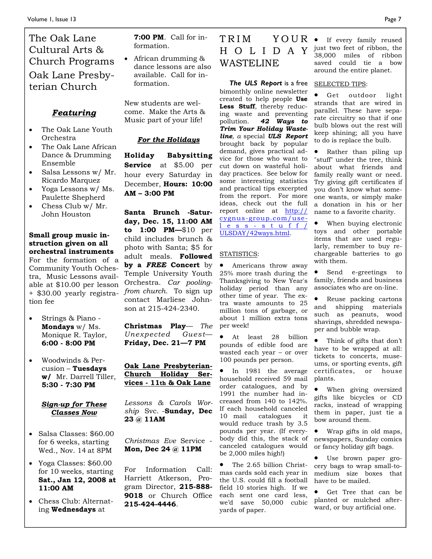## The Oak Lane Cultural Arts & Church Programs Oak Lane Presbyterian Church

## *Featuring*

- The Oak Lane Youth Orchestra
- The Oak Lane African Dance & Drumming Ensemble
- Salsa Lessons w/ Mr. Ricardo Marquez
- Yoga Lessons w/ Ms. Paulette Shepherd
- Chess Club w/ Mr. John Houston

#### **Small group music instruction given on all orchestral instruments**

For the formation of a Community Youth Ochestra, Music Lessons available at \$10.00 per lesson + \$30.00 yearly registration fee

- Strings & Piano **Mondays** w/ Ms. Monique R. Taylor, **6:00 - 8:00 PM**
- Woodwinds & Percusion – **Tuesdays w/** Mr. Darrell Tiller, **5:30 - 7:30 PM**

#### *Sign-up for These Classes Now*

- Salsa Classes: \$60.00 for 6 weeks, starting Wed., Nov. 14 at 8PM
- Yoga Classes: \$60.00 for 10 weeks, starting **Sat., Jan 12, 2008 at 11:00 AM**
- Chess Club: Alternating **Wednesdays** at

**7:00 PM**. Call for information.

• African drumming & dance lessons are also available. Call for information.

New students are welcome. Make the Arts & Music part of your life!

### *For the Holidays*

**Holiday Babysitting Service** at \$5.00 per hour every Saturday in December, **Hours: 10:00 AM – 3:00 PM** 

**Santa Brunch -Saturday, Dec. 15, 11:00 AM to 1:00 PM—**\$10 per child includes brunch & photo with Santa; \$5 for adult meals. **Followed by a** *FREE* **Concert** by Temple University Youth Orchestra. *Car poolingfrom church.* To sign up contact Marliese Johnson at 215-424-2340.

**Christmas Play**— *The Unexpected Guest*— **Friday, Dec. 21—7 PM** 

#### **Oak Lane Presbyterian-Church Holiday Services - 11th & Oak Lane**

*Lessons & Carols Worship* Svc. -**Sunday, Dec 23 @ 11AM** 

*Christmas Eve* Service - **Mon, Dec 24 @ 11PM** 

For Information Call: Harriett Atkerson, Program Director, **215-888- 9018** or Church Office **215-424-4446**.

## $TRIM$   $YOWR \bullet$  If every family reused H O L I D A Y WASTELINE

 *The ULS Report* is a free bimonthly online newsletter created to help people **Use Less Stuff**, thereby reducing waste and preventing pollution. *42 Ways to Trim Your Holiday Wasteline, a* special *ULS Report* brought back by popular demand, gives practical advice for those who want to cut down on wasteful holiday practices. See below for some interesting statistics and practical tips excerpted from the report. For more ideas, check out the full report online at http:// cygnus-group.com/useless-stuff/ ULSDAY/42ways.html.

#### STATISTICS:

• Americans throw away 25% more trash during the Thanksgiving to New Year's holiday period than any other time of year. The extra waste amounts to 25 million tons of garbage, or about 1 million extra tons per week!

• At least 28 billion pounds of edible food are wasted each year – or over 100 pounds per person.

• In 1981 the average household received 59 mail order catalogues, and by 1991 the number had increased from 140 to 142%. If each household canceled 10 mail catalogues it would reduce trash by 3.5 pounds per year. (If everybody did this, the stack of canceled catalogues would be 2,000 miles high!)

• The 2.65 billion Christmas cards sold each year in the U.S. could fill a football field 10 stories high. If we each sent one card less, we'd save 50,000 cubic yards of paper.

just two feet of ribbon, the 38,000 miles of ribbon saved could tie a bow around the entire planet.

#### SELECTED TIPS:

Get outdoor light strands that are wired in parallel. These have separate circuitry so that if one bulb blows out the rest will keep shining; all you have to do is replace the bulb.

Rather than piling up "stuff" under the tree, think about what friends and family really want or need. Try giving gift certificates if you don't know what someone wants, or simply make a donation in his or her name to a favorite charity.

When buying electronic toys and other portable items that are used regularly, remember to buy rechargeable batteries to go with them.

• Send e-greetings to family, friends and business associates who are on-line.

Reuse packing cartons and shipping materials such as peanuts, wood shavings, shredded newspaper and bubble wrap.

Think of gifts that don't have to be wrapped at all: tickets to concerts, museums, or sporting events, gift certificates, or house plants.

When giving oversized gifts like bicycles or CD racks, instead of wrapping them in paper, just tie a bow around them.

• Wrap gifts in old maps, newspapers, Sunday comics or fancy holiday gift bags.

Use brown paper grocery bags to wrap small-tomedium size boxes that have to be mailed.

Get Tree that can be planted or mulched afterward, or buy artificial one.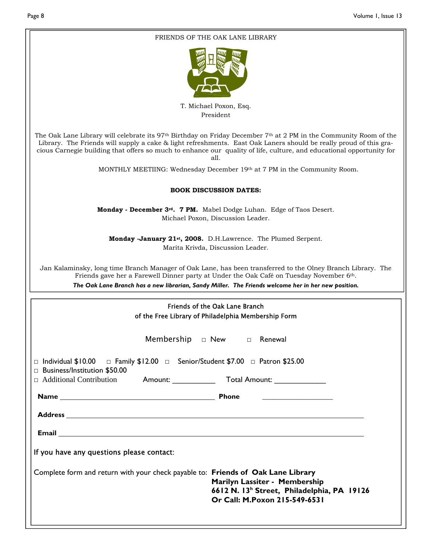| FRIENDS OF THE OAK LANE LIBRARY                                                                                                                                                                                                                                                                                                                                                                |  |  |  |  |
|------------------------------------------------------------------------------------------------------------------------------------------------------------------------------------------------------------------------------------------------------------------------------------------------------------------------------------------------------------------------------------------------|--|--|--|--|
|                                                                                                                                                                                                                                                                                                                                                                                                |  |  |  |  |
| T. Michael Poxon, Esq.                                                                                                                                                                                                                                                                                                                                                                         |  |  |  |  |
| President                                                                                                                                                                                                                                                                                                                                                                                      |  |  |  |  |
| The Oak Lane Library will celebrate its 97 <sup>th</sup> Birthday on Friday December 7 <sup>th</sup> at 2 PM in the Community Room of the<br>Library. The Friends will supply a cake & light refreshments. East Oak Laners should be really proud of this gra-<br>cious Carnegie building that offers so much to enhance our quality of life, culture, and educational opportunity for<br>all. |  |  |  |  |
| MONTHLY MEETIING: Wednesday December 19th at 7 PM in the Community Room.                                                                                                                                                                                                                                                                                                                       |  |  |  |  |
| <b>BOOK DISCUSSION DATES:</b>                                                                                                                                                                                                                                                                                                                                                                  |  |  |  |  |
| Monday - December 3 <sup>rd</sup> . 7 PM. Mabel Dodge Luhan. Edge of Taos Desert.<br>Michael Poxon, Discussion Leader.                                                                                                                                                                                                                                                                         |  |  |  |  |
| Monday -January 21 <sup>st</sup> , 2008. D.H.Lawrence. The Plumed Serpent.<br>Marita Krivda, Discussion Leader.                                                                                                                                                                                                                                                                                |  |  |  |  |
| Jan Kalaminsky, long time Branch Manager of Oak Lane, has been transferred to the Olney Branch Library. The<br>Friends gave her a Farewell Dinner party at Under the Oak Café on Tuesday November 6th.<br>The Oak Lane Branch has a new librarian, Sandy Miller. The Friends welcome her in her new position.                                                                                  |  |  |  |  |
|                                                                                                                                                                                                                                                                                                                                                                                                |  |  |  |  |
| Friends of the Oak Lane Branch                                                                                                                                                                                                                                                                                                                                                                 |  |  |  |  |
| of the Free Library of Philadelphia Membership Form                                                                                                                                                                                                                                                                                                                                            |  |  |  |  |
| Membership $\Box$ New $\Box$ Renewal                                                                                                                                                                                                                                                                                                                                                           |  |  |  |  |
| $\Box$ Individual \$10.00 $\Box$ Family \$12.00 $\Box$ Senior/Student \$7.00 $\Box$ Patron \$25.00<br>□ Business/Institution \$50.00                                                                                                                                                                                                                                                           |  |  |  |  |
| $\Box$ Additional Contribution                                                                                                                                                                                                                                                                                                                                                                 |  |  |  |  |
| Name Phone<br><u> 1999 - Johann Harry Harry Harry Harry Harry Harry Harry Harry Harry Harry Harry Harry Harry Harry Harry Harry</u>                                                                                                                                                                                                                                                            |  |  |  |  |
|                                                                                                                                                                                                                                                                                                                                                                                                |  |  |  |  |
|                                                                                                                                                                                                                                                                                                                                                                                                |  |  |  |  |
| Email <u>Communication and Communication and Communication and Communication and Communication</u>                                                                                                                                                                                                                                                                                             |  |  |  |  |
| If you have any questions please contact:                                                                                                                                                                                                                                                                                                                                                      |  |  |  |  |
| Complete form and return with your check payable to: Friends of Oak Lane Library<br>Marilyn Lassiter - Membership<br>6612 N. 13 <sup>h</sup> Street, Philadelphia, PA 19126<br>Or Call: M.Poxon 215-549-6531                                                                                                                                                                                   |  |  |  |  |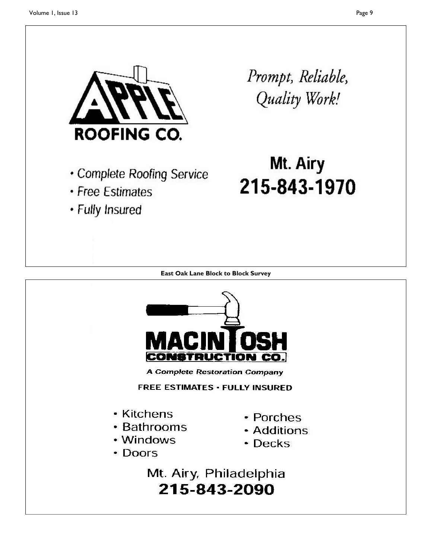

- Complete Roofing Service
- Free Estimates
- · Fully Insured

Prompt, Reliable, Quality Work!

# Mt. Airy 215-843-1970

**East Oak Lane Block to Block Survey** 



**A Complete Restoration Company** 

**FREE ESTIMATES · FULLY INSURED** 

- Kitchens
- Bathrooms
- Windows
- Doors
- Porches
- Additions
- Decks

Mt. Airy, Philadelphia 215-843-2090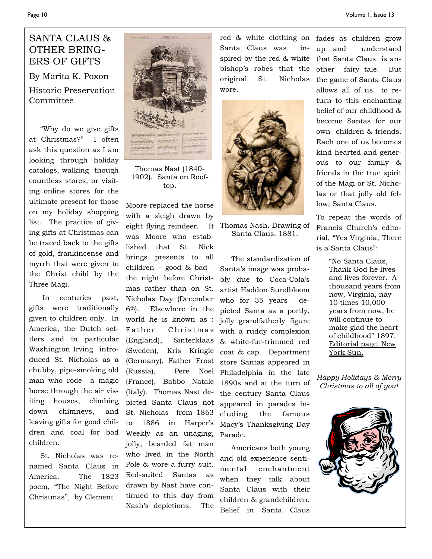## SANTA CLAUS & OTHER BRING-ERS OF GIFTS

By Marita K. Poxon Historic Preservation Committee

 "Why do we give gifts at Christmas?" I often ask this question as I am looking through holiday catalogs, walking though countless stores, or visiting online stores for the ultimate present for those on my holiday shopping list. The practice of giving gifts at Christmas can be traced back to the gifts of gold, frankincense and myrrh that were given to the Christ child by the Three Magi.

 In centuries past, gifts were traditionally given to children only. In America, the Dutch settlers and in particular Washington Irving introduced St. Nicholas as a chubby, pipe-smoking old man who rode a magic horse through the air visiting houses, climbing down chimneys, and leaving gifts for good children and coal for bad children.

 St. Nicholas was renamed Santa Claus in America. The 1823 poem, "The Night Before Christmas", by Clement



Thomas Nast (1840- 1902). Santa on Rooftop.

Moore replaced the horse with a sleigh drawn by eight flying reindeer. It was Moore who established that St. Nick brings presents to all children – good & bad the night before Christmas rather than on St. Nicholas Day (December 6th). Elsewhere in the world he is known as : Father Christmas (England), Sinterklaas (Sweden), Kris Kringle (Germany), Father Frost (Russia), Pere Noel (France), Babbo Natale (Italy). Thomas Nast depicted Santa Claus not St. Nicholas from 1863 to 1886 in Harper's Weekly as an unaging, jolly, bearded fat man who lived in the North Pole & wore a furry suit. Red-suited Santas as drawn by Nast have continued to this day from Nash's depictions. The

red & white clothing on Santa Claus was inspired by the red & white bishop's robes that the original St. Nicholas wore.



Thomas Nash. Drawing of Santa Claus. 1881.

 The standardization of Santa's image was probably due to Coca-Cola's artist Haddon Sundbloom who for 35 years depicted Santa as a portly, jolly grandfatherly figure with a ruddy complexion & white-fur-trimmed red coat & cap. Department store Santas appeared in Philadelphia in the late 1890s and at the turn of the century Santa Claus appeared in parades including the famous Macy's Thanksgiving Day Parade.

 Americans both young and old experience sentimental enchantment when they talk about Santa Claus with their children & grandchildren. Belief in Santa Claus

fades as children grow up and understand that Santa Claus is another fairy tale. But the game of Santa Claus allows all of us to return to this enchanting belief of our childhood & become Santas for our own children & friends. Each one of us becomes kind hearted and generous to our family & friends in the true spirit of the Magi or St. Nicholas or that jolly old fellow, Santa Claus.

To repeat the words of Francis Church's editorial, "Yes Virginia, There is a Santa Claus":

> "No Santa Claus, Thank God he lives and lives forever. A thousand years from now, Virginia, nay 10 times 10,000 years from now, he will continue to make glad the heart of childhood" 1897. Editorial page, New York Sun.

*Happy Holidays & Merry Christmas to all of you!*